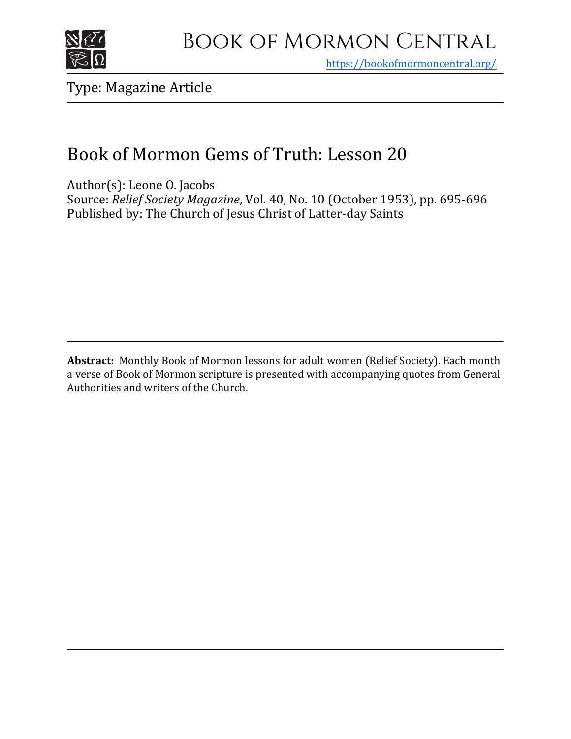

## Book of Mormon Central

https[://bookofmormoncentral.org/](http://bookofmormoncentral.org/)

Type: Magazine Article

### Book of Mormon Gems of Truth: Lesson 20

Author(s): Leone O. Jacobs Source: *Relief Society Magazine*, Vol. 40, No. 10 (October 1953), pp. 695-696 Published by: The Church of Jesus Christ of Latter-day Saints

**Abstract:** Monthly Book of Mormon lessons for adult women (Relief Society). Each month a verse of Book of Mormon scripture is presented with accompanying quotes from General Authorities and writers of the Church.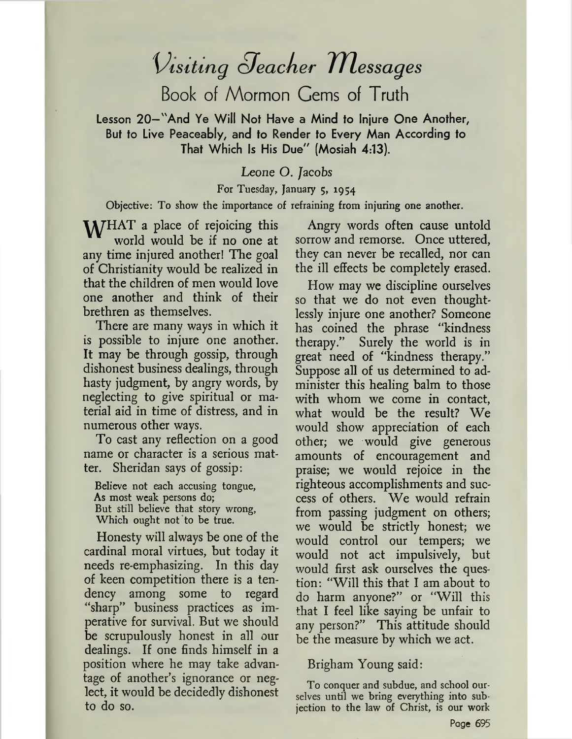# *\Àsiting oJeaciier iTlessages*

Book of Mormon Cems of Truth

Lesson 20—"And Ye Will Not Have a Mind to Injure One Another, But to Live Peaceably, and to Render to Every Man According to That Which Is His Due" (Mosiah 4:13).

#### Leone O. *Jacobs*

#### For Tuesday, January 5, 1954

#### Objective: To show the importance of refraining from injuring one another.

M/HAT a place of rejoicing this world would be if no one at any time injured another! The goal of Christianity would be realized in that the children of men would love one another and think of their brethren as themselves.

There are many ways in which it is possible to injure one another. It may be through gossip, through dishonest business dealings, through hasty judgment, by angry words, by neglecting to give spiritual or material aid in time of distress, and in numerous other ways.

To cast any reflection on a good name or character is a serious matter. Sheridan says of gossip:

Believe not each accusing tongue, As most weak persons do; But still believe that story wrong, Which ought not to be true.

Honesty will always be one of the cardinal moral virtues, but today it needs re-emphasizing. In this day of keen competition there is a tendency among some to regard "sharp" business practices as imperative for survival. But we should be scrupulously honest in all our dealings. If one finds himself in a position where he may take advantage of another'<sup>s</sup> ignorance or neglect, it would be decidedly dishonest to do so.

Angry words often cause untold sorrow and remorse. Once uttered, they can never be recalled, nor can the ill effects be completely erased.

How may we discipline ourselves so that we do not even thoughtlessly injure one another? Someone has coined the phrase "kindness therapy." Surely the world is in great need of "kindness therapy." Suppose all of us determined to administer this healing balm to those with whom we come in contact, what would be the result? We would show appreciation of each other; we would give generous amounts of encouragement and praise; we would rejoice in the righteous accomplishments and success of others. We would refrain from passing judgment on others; we would be strictly honest; we would control our tempers; we would not act impulsively, but would first ask ourselves the question: "Will this that I am about to do harm anyone?" or "Will this that I feel like saying be unfair to any person?" This attitude should be the measure by which we act.

#### Brigham Young said:

To conquer and subdue, and school ourselves until we bring everything into subjection to the law of Christ, is our work